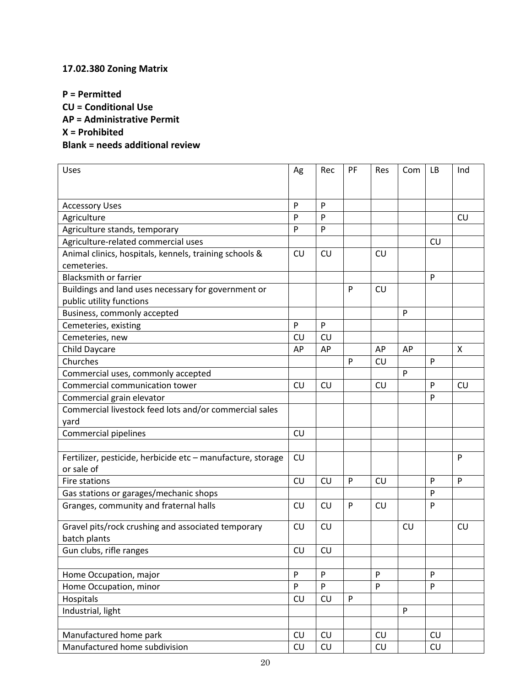## **17.02.380 Zoning Matrix**

**P = Permitted CU = Conditional Use AP = Administrative Permit X = Prohibited Blank = needs additional review**

| Uses                                                                      | Ag        | Rec              | PF | Res | Com | LB | Ind       |
|---------------------------------------------------------------------------|-----------|------------------|----|-----|-----|----|-----------|
|                                                                           |           |                  |    |     |     |    |           |
| <b>Accessory Uses</b>                                                     | P         | P                |    |     |     |    |           |
| Agriculture                                                               | P         | P                |    |     |     |    | <b>CU</b> |
| Agriculture stands, temporary                                             | P         | P                |    |     |     |    |           |
| Agriculture-related commercial uses                                       |           |                  |    |     |     | CU |           |
| Animal clinics, hospitals, kennels, training schools &                    | CU        | CU               |    | CU  |     |    |           |
| cemeteries.                                                               |           |                  |    |     |     |    |           |
| <b>Blacksmith or farrier</b>                                              |           |                  |    |     |     | P  |           |
| Buildings and land uses necessary for government or                       |           |                  | P  | CU  |     |    |           |
| public utility functions                                                  |           |                  |    |     |     |    |           |
| Business, commonly accepted                                               |           |                  |    |     | P   |    |           |
| Cemeteries, existing                                                      | P         | P                |    |     |     |    |           |
| Cemeteries, new                                                           | CU        | CU               |    |     |     |    |           |
| Child Daycare                                                             | AP        | AP               |    | AP  | AP  |    | X         |
| Churches                                                                  |           |                  | P  | CU  |     | P  |           |
| Commercial uses, commonly accepted                                        |           |                  |    |     | P   |    |           |
| Commercial communication tower                                            | CU        | CU               |    | CU  |     | P  | CU        |
| Commercial grain elevator                                                 |           |                  |    |     |     | P  |           |
| Commercial livestock feed lots and/or commercial sales                    |           |                  |    |     |     |    |           |
| yard                                                                      |           |                  |    |     |     |    |           |
| Commercial pipelines                                                      | CU        |                  |    |     |     |    |           |
|                                                                           |           |                  |    |     |     |    |           |
| Fertilizer, pesticide, herbicide etc - manufacture, storage<br>or sale of | CU        |                  |    |     |     |    | P         |
| Fire stations                                                             | CU        | CU               | P  | CU  |     | P  | P         |
| Gas stations or garages/mechanic shops                                    |           |                  |    |     |     | P  |           |
| Granges, community and fraternal halls                                    | <b>CU</b> | CU               | P  | CU  |     | P  |           |
| Gravel pits/rock crushing and associated temporary<br>batch plants        | CU        | CU               |    |     | CU  |    | <b>CU</b> |
| Gun clubs, rifle ranges                                                   | CU        | ${\sf C}{\sf U}$ |    |     |     |    |           |
|                                                                           |           |                  |    |     |     |    |           |
| Home Occupation, major                                                    | P         | $\mathsf{P}$     |    | P   |     | P  |           |
| Home Occupation, minor                                                    | P         | $\mathsf{P}$     |    | P   |     | P  |           |
| Hospitals                                                                 | CU        | CU               | P  |     |     |    |           |
| Industrial, light                                                         |           |                  |    |     | P   |    |           |
|                                                                           |           |                  |    |     |     |    |           |
| Manufactured home park                                                    | CU        | CU               |    | CU  |     | CU |           |
| Manufactured home subdivision                                             | CU        | CU               |    | CU  |     | CU |           |